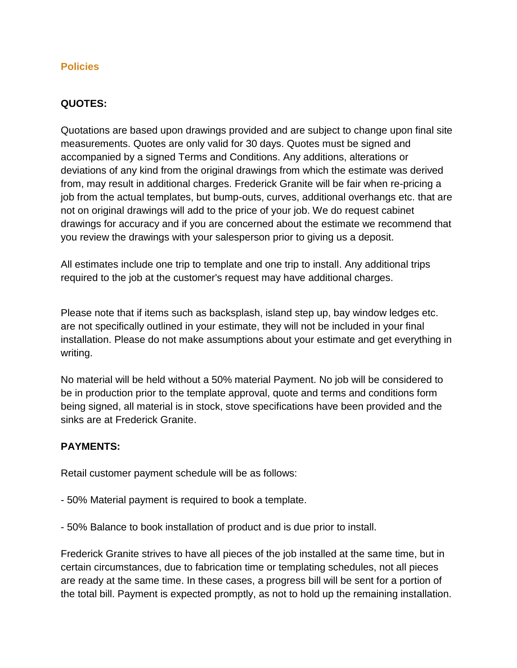## **Policies**

## **QUOTES:**

Quotations are based upon drawings provided and are subject to change upon final site measurements. Quotes are only valid for 30 days. Quotes must be signed and accompanied by a signed Terms and Conditions. Any additions, alterations or deviations of any kind from the original drawings from which the estimate was derived from, may result in additional charges. Frederick Granite will be fair when re-pricing a job from the actual templates, but bump-outs, curves, additional overhangs etc. that are not on original drawings will add to the price of your job. We do request cabinet drawings for accuracy and if you are concerned about the estimate we recommend that you review the drawings with your salesperson prior to giving us a deposit.

All estimates include one trip to template and one trip to install. Any additional trips required to the job at the customer's request may have additional charges.

Please note that if items such as backsplash, island step up, bay window ledges etc. are not specifically outlined in your estimate, they will not be included in your final installation. Please do not make assumptions about your estimate and get everything in writing.

No material will be held without a 50% material Payment. No job will be considered to be in production prior to the template approval, quote and terms and conditions form being signed, all material is in stock, stove specifications have been provided and the sinks are at Frederick Granite.

#### **PAYMENTS:**

Retail customer payment schedule will be as follows:

- 50% Material payment is required to book a template.
- 50% Balance to book installation of product and is due prior to install.

Frederick Granite strives to have all pieces of the job installed at the same time, but in certain circumstances, due to fabrication time or templating schedules, not all pieces are ready at the same time. In these cases, a progress bill will be sent for a portion of the total bill. Payment is expected promptly, as not to hold up the remaining installation.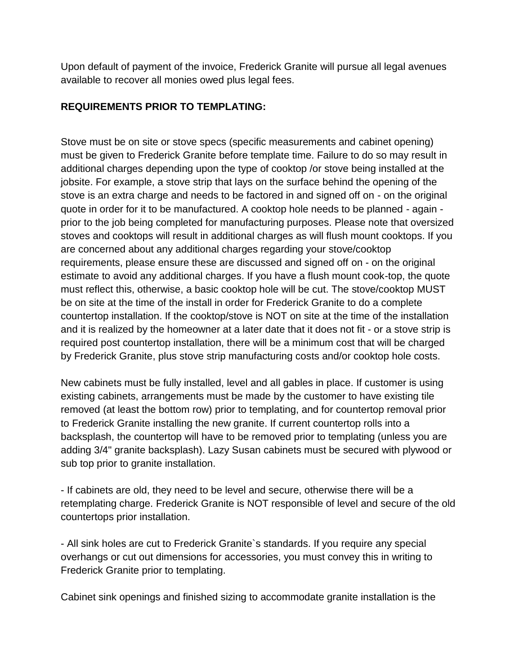Upon default of payment of the invoice, Frederick Granite will pursue all legal avenues available to recover all monies owed plus legal fees.

# **REQUIREMENTS PRIOR TO TEMPLATING:**

Stove must be on site or stove specs (specific measurements and cabinet opening) must be given to Frederick Granite before template time. Failure to do so may result in additional charges depending upon the type of cooktop /or stove being installed at the jobsite. For example, a stove strip that lays on the surface behind the opening of the stove is an extra charge and needs to be factored in and signed off on - on the original quote in order for it to be manufactured. A cooktop hole needs to be planned - again prior to the job being completed for manufacturing purposes. Please note that oversized stoves and cooktops will result in additional charges as will flush mount cooktops. If you are concerned about any additional charges regarding your stove/cooktop requirements, please ensure these are discussed and signed off on - on the original estimate to avoid any additional charges. If you have a flush mount cook-top, the quote must reflect this, otherwise, a basic cooktop hole will be cut. The stove/cooktop MUST be on site at the time of the install in order for Frederick Granite to do a complete countertop installation. If the cooktop/stove is NOT on site at the time of the installation and it is realized by the homeowner at a later date that it does not fit - or a stove strip is required post countertop installation, there will be a minimum cost that will be charged by Frederick Granite, plus stove strip manufacturing costs and/or cooktop hole costs.

New cabinets must be fully installed, level and all gables in place. If customer is using existing cabinets, arrangements must be made by the customer to have existing tile removed (at least the bottom row) prior to templating, and for countertop removal prior to Frederick Granite installing the new granite. If current countertop rolls into a backsplash, the countertop will have to be removed prior to templating (unless you are adding 3/4" granite backsplash). Lazy Susan cabinets must be secured with plywood or sub top prior to granite installation.

- If cabinets are old, they need to be level and secure, otherwise there will be a retemplating charge. Frederick Granite is NOT responsible of level and secure of the old countertops prior installation.

- All sink holes are cut to Frederick Granite`s standards. If you require any special overhangs or cut out dimensions for accessories, you must convey this in writing to Frederick Granite prior to templating.

Cabinet sink openings and finished sizing to accommodate granite installation is the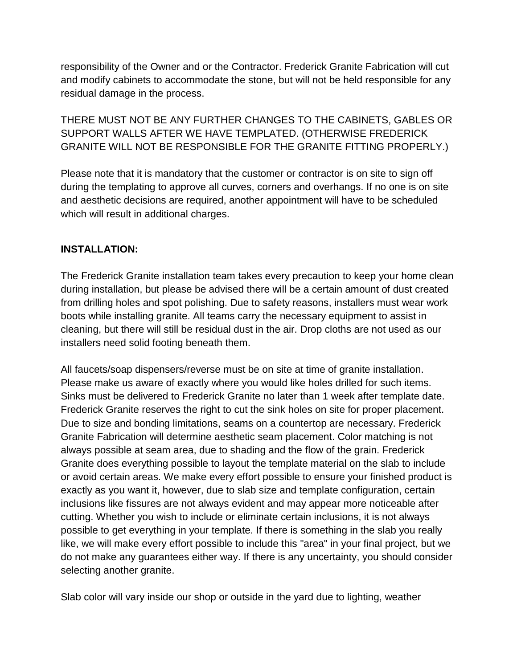responsibility of the Owner and or the Contractor. Frederick Granite Fabrication will cut and modify cabinets to accommodate the stone, but will not be held responsible for any residual damage in the process.

THERE MUST NOT BE ANY FURTHER CHANGES TO THE CABINETS, GABLES OR SUPPORT WALLS AFTER WE HAVE TEMPLATED. (OTHERWISE FREDERICK GRANITE WILL NOT BE RESPONSIBLE FOR THE GRANITE FITTING PROPERLY.)

Please note that it is mandatory that the customer or contractor is on site to sign off during the templating to approve all curves, corners and overhangs. If no one is on site and aesthetic decisions are required, another appointment will have to be scheduled which will result in additional charges.

# **INSTALLATION:**

The Frederick Granite installation team takes every precaution to keep your home clean during installation, but please be advised there will be a certain amount of dust created from drilling holes and spot polishing. Due to safety reasons, installers must wear work boots while installing granite. All teams carry the necessary equipment to assist in cleaning, but there will still be residual dust in the air. Drop cloths are not used as our installers need solid footing beneath them.

All faucets/soap dispensers/reverse must be on site at time of granite installation. Please make us aware of exactly where you would like holes drilled for such items. Sinks must be delivered to Frederick Granite no later than 1 week after template date. Frederick Granite reserves the right to cut the sink holes on site for proper placement. Due to size and bonding limitations, seams on a countertop are necessary. Frederick Granite Fabrication will determine aesthetic seam placement. Color matching is not always possible at seam area, due to shading and the flow of the grain. Frederick Granite does everything possible to layout the template material on the slab to include or avoid certain areas. We make every effort possible to ensure your finished product is exactly as you want it, however, due to slab size and template configuration, certain inclusions like fissures are not always evident and may appear more noticeable after cutting. Whether you wish to include or eliminate certain inclusions, it is not always possible to get everything in your template. If there is something in the slab you really like, we will make every effort possible to include this "area" in your final project, but we do not make any guarantees either way. If there is any uncertainty, you should consider selecting another granite.

Slab color will vary inside our shop or outside in the yard due to lighting, weather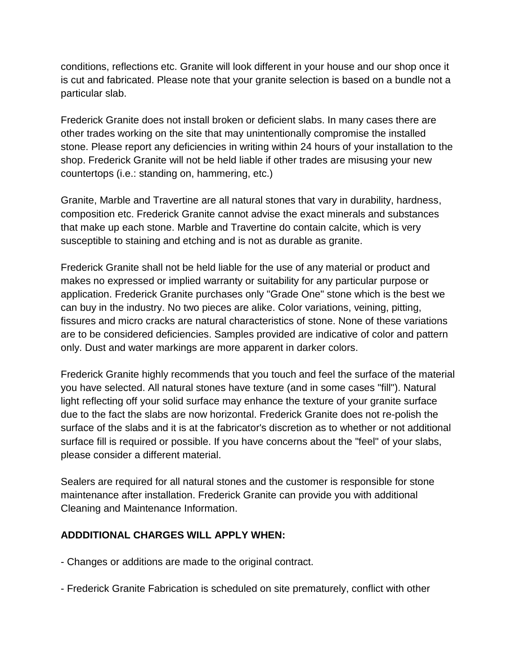conditions, reflections etc. Granite will look different in your house and our shop once it is cut and fabricated. Please note that your granite selection is based on a bundle not a particular slab.

Frederick Granite does not install broken or deficient slabs. In many cases there are other trades working on the site that may unintentionally compromise the installed stone. Please report any deficiencies in writing within 24 hours of your installation to the shop. Frederick Granite will not be held liable if other trades are misusing your new countertops (i.e.: standing on, hammering, etc.)

Granite, Marble and Travertine are all natural stones that vary in durability, hardness, composition etc. Frederick Granite cannot advise the exact minerals and substances that make up each stone. Marble and Travertine do contain calcite, which is very susceptible to staining and etching and is not as durable as granite.

Frederick Granite shall not be held liable for the use of any material or product and makes no expressed or implied warranty or suitability for any particular purpose or application. Frederick Granite purchases only "Grade One" stone which is the best we can buy in the industry. No two pieces are alike. Color variations, veining, pitting, fissures and micro cracks are natural characteristics of stone. None of these variations are to be considered deficiencies. Samples provided are indicative of color and pattern only. Dust and water markings are more apparent in darker colors.

Frederick Granite highly recommends that you touch and feel the surface of the material you have selected. All natural stones have texture (and in some cases "fill"). Natural light reflecting off your solid surface may enhance the texture of your granite surface due to the fact the slabs are now horizontal. Frederick Granite does not re-polish the surface of the slabs and it is at the fabricator's discretion as to whether or not additional surface fill is required or possible. If you have concerns about the "feel" of your slabs, please consider a different material.

Sealers are required for all natural stones and the customer is responsible for stone maintenance after installation. Frederick Granite can provide you with additional Cleaning and Maintenance Information.

# **ADDDITIONAL CHARGES WILL APPLY WHEN:**

- Changes or additions are made to the original contract.
- Frederick Granite Fabrication is scheduled on site prematurely, conflict with other